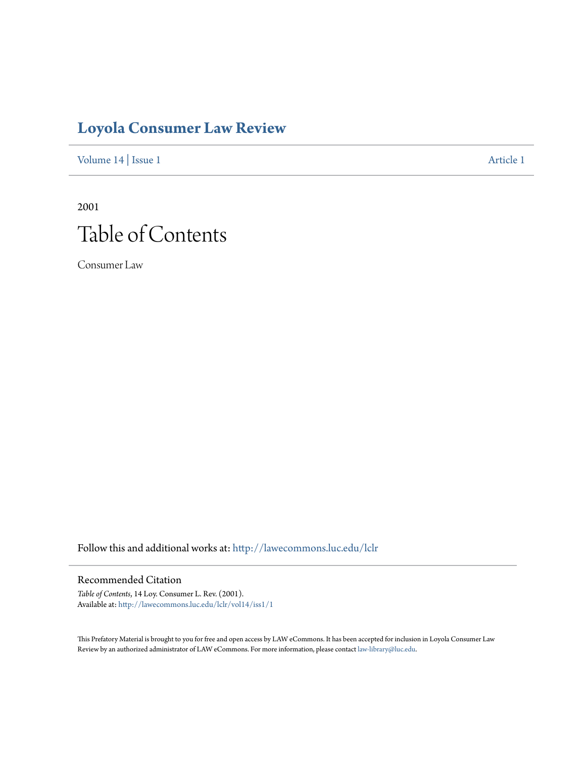# **[Loyola Consumer Law Review](http://lawecommons.luc.edu/lclr?utm_source=lawecommons.luc.edu%2Flclr%2Fvol14%2Fiss1%2F1&utm_medium=PDF&utm_campaign=PDFCoverPages)**

[Volume 14](http://lawecommons.luc.edu/lclr/vol14?utm_source=lawecommons.luc.edu%2Flclr%2Fvol14%2Fiss1%2F1&utm_medium=PDF&utm_campaign=PDFCoverPages) | [Issue 1](http://lawecommons.luc.edu/lclr/vol14/iss1?utm_source=lawecommons.luc.edu%2Flclr%2Fvol14%2Fiss1%2F1&utm_medium=PDF&utm_campaign=PDFCoverPages) [Article 1](http://lawecommons.luc.edu/lclr/vol14/iss1/1?utm_source=lawecommons.luc.edu%2Flclr%2Fvol14%2Fiss1%2F1&utm_medium=PDF&utm_campaign=PDFCoverPages)

2001 Table of Contents

Consumer Law

Follow this and additional works at: [http://lawecommons.luc.edu/lclr](http://lawecommons.luc.edu/lclr?utm_source=lawecommons.luc.edu%2Flclr%2Fvol14%2Fiss1%2F1&utm_medium=PDF&utm_campaign=PDFCoverPages)

#### Recommended Citation

*Table of Contents*, 14 Loy. Consumer L. Rev. (2001). Available at: [http://lawecommons.luc.edu/lclr/vol14/iss1/1](http://lawecommons.luc.edu/lclr/vol14/iss1/1?utm_source=lawecommons.luc.edu%2Flclr%2Fvol14%2Fiss1%2F1&utm_medium=PDF&utm_campaign=PDFCoverPages)

This Prefatory Material is brought to you for free and open access by LAW eCommons. It has been accepted for inclusion in Loyola Consumer Law Review by an authorized administrator of LAW eCommons. For more information, please contact [law-library@luc.edu](mailto:law-library@luc.edu).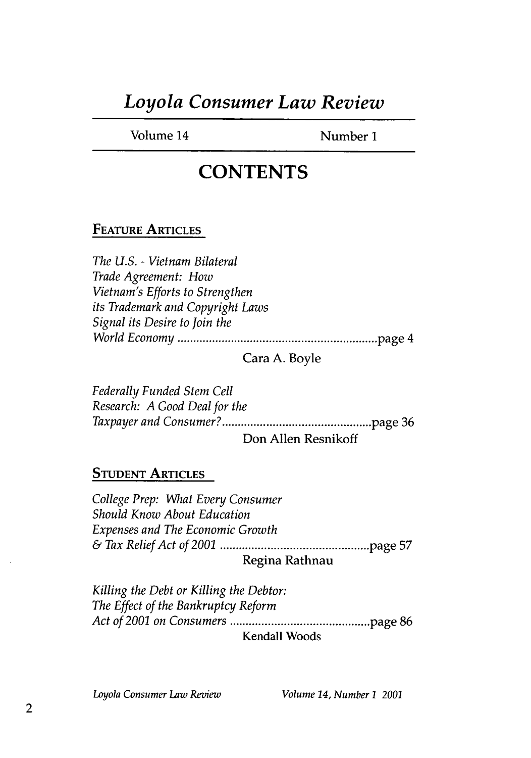# *Loyola Consumer Law Review*

Volume 14 Number 1

### **CONTENTS**

#### **FEATURE ARTICLES**

*The U.S.* **-** *Vietnam Bilateral Trade Agreement: How Vietnam's Efforts to Strengthen its Trademark and Copyright Laws Signal its Desire to Join the W orld Econom y ...............................................................* page 4

Cara **A.** Boyle

*Federally Funded Stem Cell Research: A Good Deal for the Taxpayer and Consumer? ............................ ..... .. ............* page **36**

Don Allen Resnikoff

#### **STUDENT ARTICLES**

*College Prep: What Every Consumer Should Know About Education Expenses and The Economic Growth & Tax Relief Act of 2001 ...............................................* page **57** Regina Rathnau

*Killing the Debt or Killing the Debtor: The Effect of the Bankruptcy Reform Act of 2001 on Consumers ............................................* page 86 **Kendall** Woods

*Loyola Consumer Law Review Volume 14, Number]1 2001*